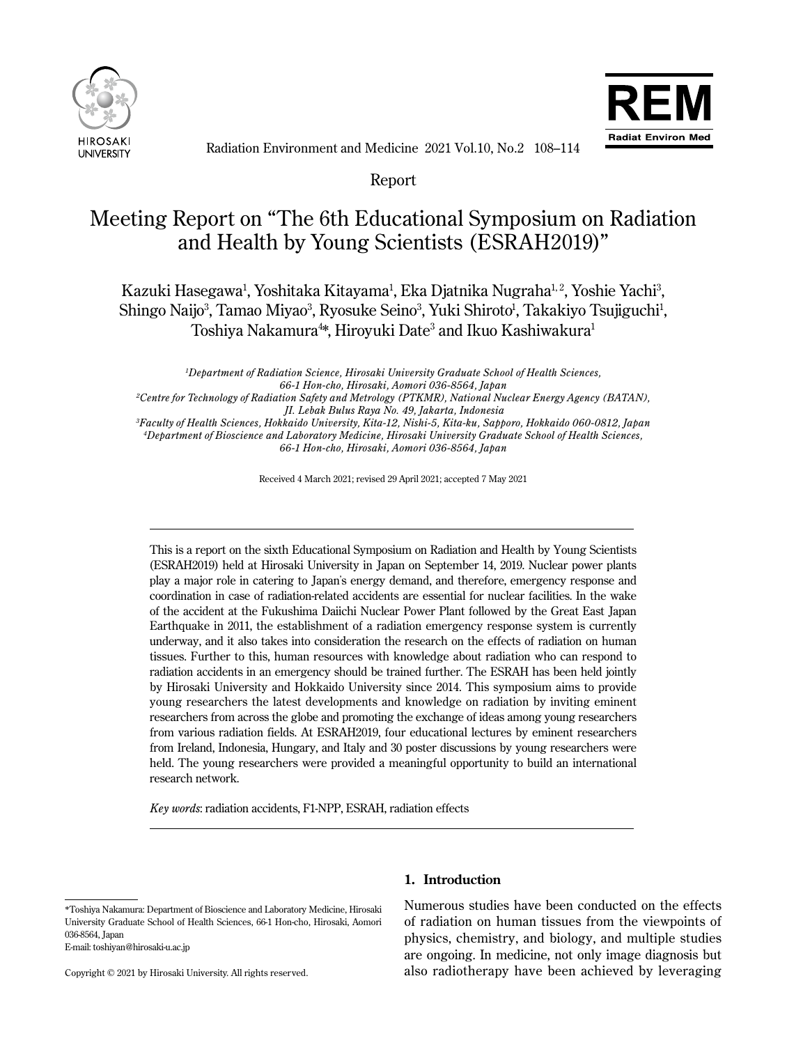



Radiation Environment and Medicine 2021 Vol.10, No.2 108–114

Report

# Meeting Report on "The 6th Educational Symposium on Radiation and Health by Young Scientists (ESRAH2019)"

Kazuki Hasegawa<sup>1</sup>, Yoshitaka Kitayama<sup>1</sup>, Eka Djatnika Nugraha<sup>1,2</sup>, Yoshie Yachi<sup>3</sup>, Shingo Naijo<sup>3</sup>, Tamao Miyao<sup>3</sup>, Ryosuke Seino<sup>3</sup>, Yuki Shiroto<sup>1</sup>, Takakiyo Tsujiguchi<sup>1</sup>, Toshiya Nakamura $^{4\ast}$ , Hiroyuki Date $^3$  and Ikuo Kashiwakura $^1$ 

*1 Department of Radiation Science, Hirosaki University Graduate School of Health Sciences, 66-1 Hon-cho, Hirosaki, Aomori 036-8564, Japan 2 Centre for Technology of Radiation Safety and Metrology (PTKMR), National Nuclear Energy Agency (BATAN),*

 *JI. Lebak Bulus Raya No. 49, Jakarta, Indonesia*

*3 Faculty of Health Sciences, Hokkaido University, Kita-12, Nishi-5, Kita-ku, Sapporo, Hokkaido 060-0812, Japan 4 Department of Bioscience and Laboratory Medicine, Hirosaki University Graduate School of Health Sciences, 66-1 Hon-cho, Hirosaki, Aomori 036-8564, Japan*

Received 4 March 2021; revised 29 April 2021; accepted 7 May 2021

This is a report on the sixth Educational Symposium on Radiation and Health by Young Scientists (ESRAH2019) held at Hirosaki University in Japan on September 14, 2019. Nuclear power plants play a major role in catering to Japan's energy demand, and therefore, emergency response and coordination in case of radiation-related accidents are essential for nuclear facilities. In the wake of the accident at the Fukushima Daiichi Nuclear Power Plant followed by the Great East Japan Earthquake in 2011, the establishment of a radiation emergency response system is currently underway, and it also takes into consideration the research on the effects of radiation on human tissues. Further to this, human resources with knowledge about radiation who can respond to radiation accidents in an emergency should be trained further. The ESRAH has been held jointly by Hirosaki University and Hokkaido University since 2014. This symposium aims to provide young researchers the latest developments and knowledge on radiation by inviting eminent researchers from across the globe and promoting the exchange of ideas among young researchers from various radiation fields. At ESRAH2019, four educational lectures by eminent researchers from Ireland, Indonesia, Hungary, and Italy and 30 poster discussions by young researchers were held. The young researchers were provided a meaningful opportunity to build an international research network.

*Key words*: radiation accidents, F1-NPP, ESRAH, radiation effects

E-mail: toshiyan@hirosaki-u.ac.jp

 $\overline{a}$ 

Ī

# **1. Introduction**

Numerous studies have been conducted on the effects of radiation on human tissues from the viewpoints of physics, chemistry, and biology, and multiple studies are ongoing. In medicine, not only image diagnosis but also radiotherapy have been achieved by leveraging

<sup>\*</sup>Toshiya Nakamura: Department of Bioscience and Laboratory Medicine, Hirosaki University Graduate School of Health Sciences, 66-1 Hon-cho, Hirosaki, Aomori 036-8564, Japan

Copyright © 2021 by Hirosaki University. All rights reserved.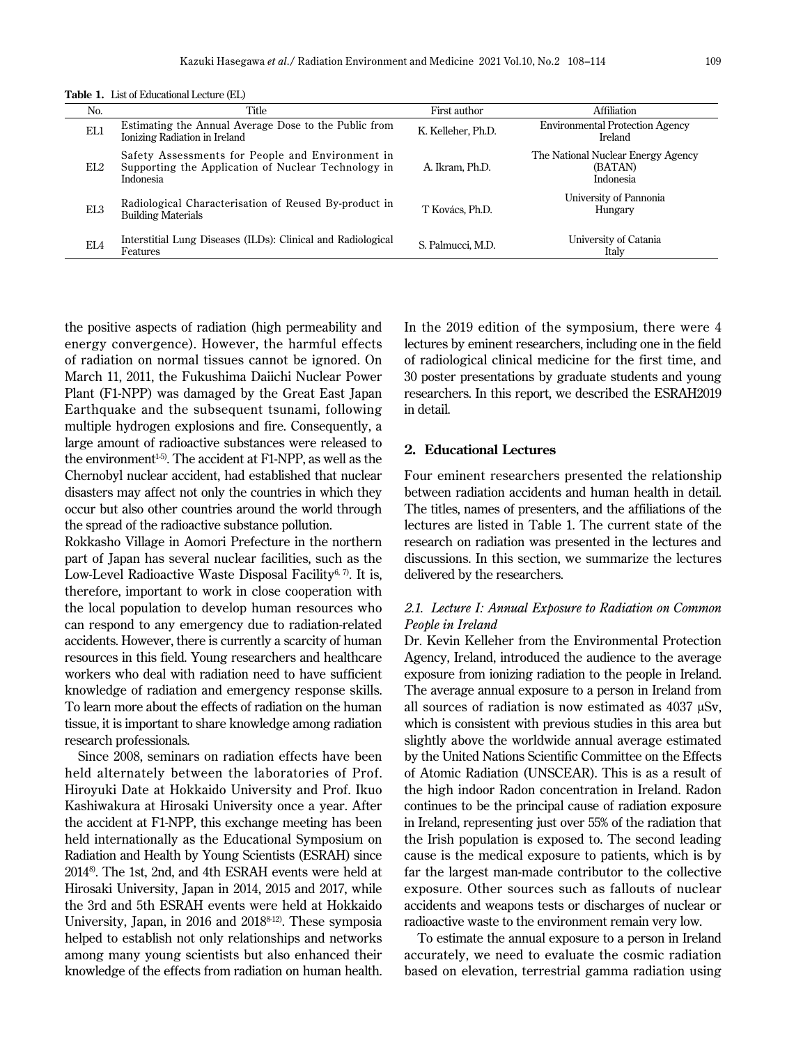|  | <b>Table 1.</b> List of Educational Lecture (EL) |  |
|--|--------------------------------------------------|--|
|--|--------------------------------------------------|--|

| 1 0010 11 2300 01 DUCCONDOING DOCUM 0 (1919) |                                                                                                                      |                    |                                                            |  |  |
|----------------------------------------------|----------------------------------------------------------------------------------------------------------------------|--------------------|------------------------------------------------------------|--|--|
| No.                                          | Title                                                                                                                | First author       | Affiliation                                                |  |  |
| EL1                                          | Estimating the Annual Average Dose to the Public from<br>Ionizing Radiation in Ireland                               | K. Kelleher, Ph.D. | <b>Environmental Protection Agency</b><br>Ireland          |  |  |
| EL2                                          | Safety Assessments for People and Environment in<br>Supporting the Application of Nuclear Technology in<br>Indonesia | A. Ikram. Ph.D.    | The National Nuclear Energy Agency<br>(BATAN)<br>Indonesia |  |  |
| EL <sub>3</sub>                              | Radiological Characterisation of Reused By-product in<br><b>Building Materials</b>                                   | T Kovács, Ph.D.    | University of Pannonia<br>Hungary                          |  |  |
| EL4                                          | Interstitial Lung Diseases (ILDs): Clinical and Radiological<br>Features                                             | S. Palmucci, M.D.  | University of Catania<br>Italy                             |  |  |

the positive aspects of radiation (high permeability and energy convergence). However, the harmful effects of radiation on normal tissues cannot be ignored. On March 11, 2011, the Fukushima Daiichi Nuclear Power Plant (F1-NPP) was damaged by the Great East Japan Earthquake and the subsequent tsunami, following multiple hydrogen explosions and fire. Consequently, a large amount of radioactive substances were released to the environment<sup> $1-5$ </sup>. The accident at F1-NPP, as well as the Chernobyl nuclear accident, had established that nuclear disasters may affect not only the countries in which they occur but also other countries around the world through the spread of the radioactive substance pollution.

Rokkasho Village in Aomori Prefecture in the northern part of Japan has several nuclear facilities, such as the Low-Level Radioactive Waste Disposal Facility<sup>6, 7)</sup>. It is, therefore, important to work in close cooperation with the local population to develop human resources who can respond to any emergency due to radiation-related accidents. However, there is currently a scarcity of human resources in this field. Young researchers and healthcare workers who deal with radiation need to have sufficient knowledge of radiation and emergency response skills. To learn more about the effects of radiation on the human tissue, it is important to share knowledge among radiation research professionals.

Since 2008, seminars on radiation effects have been held alternately between the laboratories of Prof. Hiroyuki Date at Hokkaido University and Prof. Ikuo Kashiwakura at Hirosaki University once a year. After the accident at F1-NPP, this exchange meeting has been held internationally as the Educational Symposium on Radiation and Health by Young Scientists (ESRAH) since 20148). The 1st, 2nd, and 4th ESRAH events were held at Hirosaki University, Japan in 2014, 2015 and 2017, while the 3rd and 5th ESRAH events were held at Hokkaido University, Japan, in 2016 and 2018<sup>8-12)</sup>. These symposia helped to establish not only relationships and networks among many young scientists but also enhanced their knowledge of the effects from radiation on human health.

In the 2019 edition of the symposium, there were 4 lectures by eminent researchers, including one in the field of radiological clinical medicine for the first time, and 30 poster presentations by graduate students and young researchers. In this report, we described the ESRAH2019 in detail.

#### **2. Educational Lectures**

Four eminent researchers presented the relationship between radiation accidents and human health in detail. The titles, names of presenters, and the affiliations of the lectures are listed in Table 1. The current state of the research on radiation was presented in the lectures and discussions. In this section, we summarize the lectures delivered by the researchers.

# *2.1. Lecture I: Annual Exposure to Radiation on Common People in Ireland*

Dr. Kevin Kelleher from the Environmental Protection Agency, Ireland, introduced the audience to the average exposure from ionizing radiation to the people in Ireland. The average annual exposure to a person in Ireland from all sources of radiation is now estimated as 4037 µSv, which is consistent with previous studies in this area but slightly above the worldwide annual average estimated by the United Nations Scientific Committee on the Effects of Atomic Radiation (UNSCEAR). This is as a result of the high indoor Radon concentration in Ireland. Radon continues to be the principal cause of radiation exposure in Ireland, representing just over 55% of the radiation that the Irish population is exposed to. The second leading cause is the medical exposure to patients, which is by far the largest man-made contributor to the collective exposure. Other sources such as fallouts of nuclear accidents and weapons tests or discharges of nuclear or radioactive waste to the environment remain very low.

To estimate the annual exposure to a person in Ireland accurately, we need to evaluate the cosmic radiation based on elevation, terrestrial gamma radiation using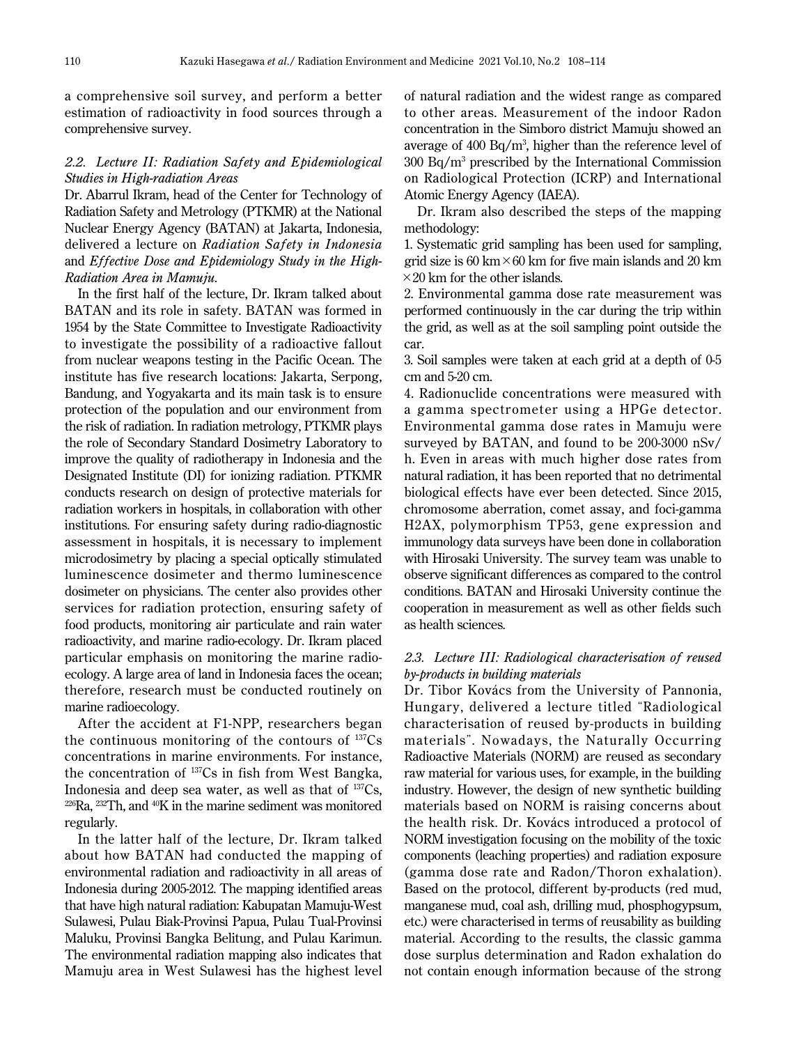a comprehensive soil survey, and perform a better estimation of radioactivity in food sources through a comprehensive survey.

## *2.2. Lecture II: Radiation Safety and Epidemiological Studies in High-radiation Areas*

Dr. Abarrul Ikram, head of the Center for Technology of Radiation Safety and Metrology (PTKMR) at the National Nuclear Energy Agency (BATAN) at Jakarta, Indonesia, delivered a lecture on *Radiation Safety in Indonesia*  and *Ef fective Dose and Epidemiology Study in the High-Radiation Area in Mamuju*.

In the first half of the lecture, Dr. Ikram talked about BATAN and its role in safety. BATAN was formed in 1954 by the State Committee to Investigate Radioactivity to investigate the possibility of a radioactive fallout from nuclear weapons testing in the Pacific Ocean. The institute has five research locations: Jakarta, Serpong, Bandung, and Yogyakarta and its main task is to ensure protection of the population and our environment from the risk of radiation. In radiation metrology, PTKMR plays the role of Secondary Standard Dosimetry Laboratory to improve the quality of radiotherapy in Indonesia and the Designated Institute (DI) for ionizing radiation. PTKMR conducts research on design of protective materials for radiation workers in hospitals, in collaboration with other institutions. For ensuring safety during radio-diagnostic assessment in hospitals, it is necessary to implement microdosimetry by placing a special optically stimulated luminescence dosimeter and thermo luminescence dosimeter on physicians. The center also provides other services for radiation protection, ensuring safety of food products, monitoring air particulate and rain water radioactivity, and marine radio-ecology. Dr. Ikram placed particular emphasis on monitoring the marine radioecology. A large area of land in Indonesia faces the ocean; therefore, research must be conducted routinely on marine radioecology.

After the accident at F1-NPP, researchers began the continuous monitoring of the contours of  $137Cs$ concentrations in marine environments. For instance, the concentration of 137Cs in fish from West Bangka, Indonesia and deep sea water, as well as that of  $^{137}Cs$ ,  $^{226}Ra$ ,  $^{232}Th$ , and  $^{40}K$  in the marine sediment was monitored regularly.

In the latter half of the lecture, Dr. Ikram talked about how BATAN had conducted the mapping of environmental radiation and radioactivity in all areas of Indonesia during 2005-2012. The mapping identified areas that have high natural radiation: Kabupatan Mamuju-West Sulawesi, Pulau Biak-Provinsi Papua, Pulau Tual-Provinsi Maluku, Provinsi Bangka Belitung, and Pulau Karimun. The environmental radiation mapping also indicates that Mamuju area in West Sulawesi has the highest level of natural radiation and the widest range as compared to other areas. Measurement of the indoor Radon concentration in the Simboro district Mamuju showed an average of  $400 \text{ Bq/m}^3$ , higher than the reference level of 300 Bq/m3 prescribed by the International Commission on Radiological Protection (ICRP) and International Atomic Energy Agency (IAEA).

Dr. Ikram also described the steps of the mapping methodology:

1. Systematic grid sampling has been used for sampling, grid size is 60 km  $\times$  60 km for five main islands and 20 km  $\times$  20 km for the other islands.

2. Environmental gamma dose rate measurement was performed continuously in the car during the trip within the grid, as well as at the soil sampling point outside the car.

3. Soil samples were taken at each grid at a depth of 0-5 cm and 5-20 cm.

4. Radionuclide concentrations were measured with a gamma spectrometer using a HPGe detector. Environmental gamma dose rates in Mamuju were surveyed by BATAN, and found to be 200-3000 nSv/ h. Even in areas with much higher dose rates from natural radiation, it has been reported that no detrimental biological effects have ever been detected. Since 2015, chromosome aberration, comet assay, and foci-gamma H2AX, polymorphism TP53, gene expression and immunology data surveys have been done in collaboration with Hirosaki University. The survey team was unable to observe significant differences as compared to the control conditions. BATAN and Hirosaki University continue the cooperation in measurement as well as other fields such as health sciences.

## *2.3. Lecture III: Radiological characterisation of reused by-products in building materials*

Dr. Tibor Kovács from the University of Pannonia, Hungary, delivered a lecture titled "Radiological characterisation of reused by-products in building materials". Nowadays, the Naturally Occurring Radioactive Materials (NORM) are reused as secondary raw material for various uses, for example, in the building industry. However, the design of new synthetic building materials based on NORM is raising concerns about the health risk. Dr. Kovács introduced a protocol of NORM investigation focusing on the mobility of the toxic components (leaching properties) and radiation exposure (gamma dose rate and Radon/Thoron exhalation). Based on the protocol, different by-products (red mud, manganese mud, coal ash, drilling mud, phosphogypsum, etc.) were characterised in terms of reusability as building material. According to the results, the classic gamma dose surplus determination and Radon exhalation do not contain enough information because of the strong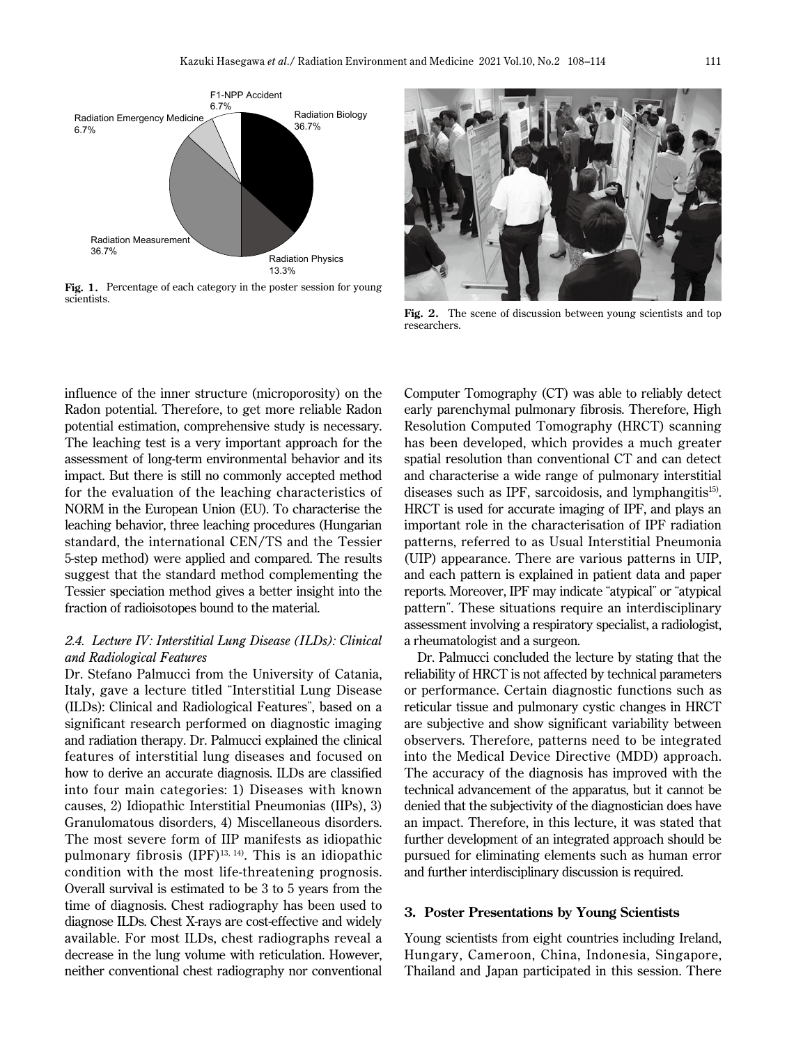

Fig. 1. Percentage of each category in the poster session for young scientists.



Fig. 2. The scene of discussion between young scientists and top researchers.

influence of the inner structure (microporosity) on the Radon potential. Therefore, to get more reliable Radon potential estimation, comprehensive study is necessary. The leaching test is a very important approach for the assessment of long-term environmental behavior and its impact. But there is still no commonly accepted method for the evaluation of the leaching characteristics of NORM in the European Union (EU). To characterise the leaching behavior, three leaching procedures (Hungarian standard, the international CEN/TS and the Tessier 5-step method) were applied and compared. The results suggest that the standard method complementing the Tessier speciation method gives a better insight into the fraction of radioisotopes bound to the material.

## *2.4. Lecture IV: Interstitial Lung Disease (ILDs): Clinical and Radiological Features*

Dr. Stefano Palmucci from the University of Catania, Italy, gave a lecture titled "Interstitial Lung Disease (ILDs): Clinical and Radiological Features", based on a significant research performed on diagnostic imaging and radiation therapy. Dr. Palmucci explained the clinical features of interstitial lung diseases and focused on how to derive an accurate diagnosis. ILDs are classified into four main categories: 1) Diseases with known causes, 2) Idiopathic Interstitial Pneumonias (IIPs), 3) Granulomatous disorders, 4) Miscellaneous disorders. The most severe form of IIP manifests as idiopathic pulmonary fibrosis  $(IPF)^{13, 14}$ . This is an idiopathic condition with the most life-threatening prognosis. Overall survival is estimated to be 3 to 5 years from the time of diagnosis. Chest radiography has been used to diagnose ILDs. Chest X-rays are cost-effective and widely available. For most ILDs, chest radiographs reveal a decrease in the lung volume with reticulation. However, neither conventional chest radiography nor conventional

Computer Tomography (CT) was able to reliably detect early parenchymal pulmonary fibrosis. Therefore, High Resolution Computed Tomography (HRCT) scanning has been developed, which provides a much greater spatial resolution than conventional CT and can detect and characterise a wide range of pulmonary interstitial diseases such as IPF, sarcoidosis, and lymphangitis $15$ . HRCT is used for accurate imaging of IPF, and plays an important role in the characterisation of IPF radiation patterns, referred to as Usual Interstitial Pneumonia (UIP) appearance. There are various patterns in UIP, and each pattern is explained in patient data and paper reports. Moreover, IPF may indicate "atypical" or "atypical pattern". These situations require an interdisciplinary assessment involving a respiratory specialist, a radiologist, a rheumatologist and a surgeon.

Dr. Palmucci concluded the lecture by stating that the reliability of HRCT is not affected by technical parameters or performance. Certain diagnostic functions such as reticular tissue and pulmonary cystic changes in HRCT are subjective and show significant variability between observers. Therefore, patterns need to be integrated into the Medical Device Directive (MDD) approach. The accuracy of the diagnosis has improved with the technical advancement of the apparatus, but it cannot be denied that the subjectivity of the diagnostician does have an impact. Therefore, in this lecture, it was stated that further development of an integrated approach should be pursued for eliminating elements such as human error and further interdisciplinary discussion is required.

#### **3. Poster Presentations by Young Scientists**

Young scientists from eight countries including Ireland, Hungary, Cameroon, China, Indonesia, Singapore, Thailand and Japan participated in this session. There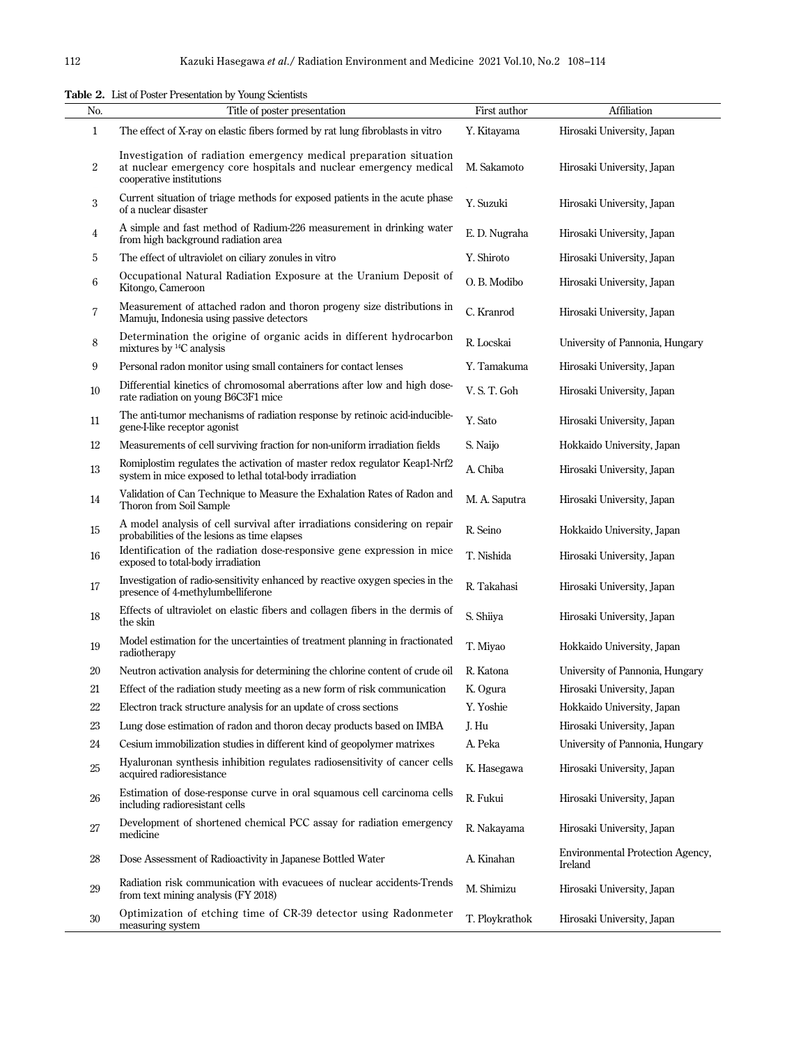|                | Table 2. List of Poster Presentation by Young Scientists                                                                                                            |                |                                             |
|----------------|---------------------------------------------------------------------------------------------------------------------------------------------------------------------|----------------|---------------------------------------------|
| No.            | Title of poster presentation                                                                                                                                        | First author   | Affiliation                                 |
| $\mathbf{1}$   | The effect of X-ray on elastic fibers formed by rat lung fibroblasts in vitro                                                                                       | Y. Kitayama    | Hirosaki University, Japan                  |
| $\overline{2}$ | Investigation of radiation emergency medical preparation situation<br>at nuclear emergency core hospitals and nuclear emergency medical<br>cooperative institutions | M. Sakamoto    | Hirosaki University, Japan                  |
| 3              | Current situation of triage methods for exposed patients in the acute phase<br>of a nuclear disaster                                                                | Y. Suzuki      | Hirosaki University, Japan                  |
| 4              | A simple and fast method of Radium-226 measurement in drinking water<br>from high background radiation area                                                         | E. D. Nugraha  | Hirosaki University, Japan                  |
| 5              | The effect of ultraviolet on ciliary zonules in vitro                                                                                                               | Y. Shiroto     | Hirosaki University, Japan                  |
| 6              | Occupational Natural Radiation Exposure at the Uranium Deposit of<br>Kitongo, Cameroon                                                                              | O. B. Modibo   | Hirosaki University, Japan                  |
| $\overline{7}$ | Measurement of attached radon and thoron progeny size distributions in<br>Mamuju, Indonesia using passive detectors                                                 | C. Kranrod     | Hirosaki University, Japan                  |
| 8              | Determination the origine of organic acids in different hydrocarbon<br>mixtures by <sup>14</sup> C analysis                                                         | R. Locskai     | University of Pannonia, Hungary             |
| 9              | Personal radon monitor using small containers for contact lenses                                                                                                    | Y. Tamakuma    | Hirosaki University, Japan                  |
| 10             | Differential kinetics of chromosomal aberrations after low and high dose-<br>rate radiation on young B6C3F1 mice                                                    | V.S.T. Goh     | Hirosaki University, Japan                  |
| 11             | The anti-tumor mechanisms of radiation response by retinoic acid-inducible-<br>gene-I-like receptor agonist                                                         | Y. Sato        | Hirosaki University, Japan                  |
| 12             | Measurements of cell surviving fraction for non-uniform irradiation fields                                                                                          | S. Naijo       | Hokkaido University, Japan                  |
| 13             | Romiplostim regulates the activation of master redox regulator Keap1-Nrf2<br>system in mice exposed to lethal total-body irradiation                                | A. Chiba       | Hirosaki University, Japan                  |
| 14             | Validation of Can Technique to Measure the Exhalation Rates of Radon and<br>Thoron from Soil Sample                                                                 | M. A. Saputra  | Hirosaki University, Japan                  |
| 15             | A model analysis of cell survival after irradiations considering on repair<br>probabilities of the lesions as time elapses                                          | R. Seino       | Hokkaido University, Japan                  |
| 16             | Identification of the radiation dose-responsive gene expression in mice<br>exposed to total-body irradiation                                                        | T. Nishida     | Hirosaki University, Japan                  |
| 17             | Investigation of radio-sensitivity enhanced by reactive oxygen species in the<br>presence of 4-methylumbelliferone                                                  | R. Takahasi    | Hirosaki University, Japan                  |
| 18             | Effects of ultraviolet on elastic fibers and collagen fibers in the dermis of<br>the skin                                                                           | S. Shiiya      | Hirosaki University, Japan                  |
| 19             | Model estimation for the uncertainties of treatment planning in fractionated<br>radiotherapy                                                                        | T. Miyao       | Hokkaido University, Japan                  |
| 20             | Neutron activation analysis for determining the chlorine content of crude oil                                                                                       | R. Katona      | University of Pannonia, Hungary             |
| 21             | Effect of the radiation study meeting as a new form of risk communication                                                                                           | K. Ogura       | Hirosaki University, Japan                  |
| $22\,$         | Electron track structure analysis for an update of cross sections                                                                                                   | Y. Yoshie      | Hokkaido University, Japan                  |
| $23\,$         | Lung dose estimation of radon and thoron decay products based on IMBA                                                                                               | J. Hu          | Hirosaki University, Japan                  |
| 24             | Cesium immobilization studies in different kind of geopolymer matrixes                                                                                              | A. Peka        | University of Pannonia, Hungary             |
| 25             | Hyaluronan synthesis inhibition regulates radiosensitivity of cancer cells<br>acquired radioresistance                                                              | K. Hasegawa    | Hirosaki University, Japan                  |
| 26             | Estimation of dose-response curve in oral squamous cell carcinoma cells<br>including radioresistant cells                                                           | R. Fukui       | Hirosaki University, Japan                  |
| 27             | Development of shortened chemical PCC assay for radiation emergency<br>medicine                                                                                     | R. Nakayama    | Hirosaki University, Japan                  |
| 28             | Dose Assessment of Radioactivity in Japanese Bottled Water                                                                                                          | A. Kinahan     | Environmental Protection Agency,<br>Ireland |
| 29             | Radiation risk communication with evacuees of nuclear accidents-Trends<br>from text mining analysis (FY 2018)                                                       | M. Shimizu     | Hirosaki University, Japan                  |
| 30             | Optimization of etching time of CR-39 detector using Radonmeter<br>measuring system                                                                                 | T. Ploykrathok | Hirosaki University, Japan                  |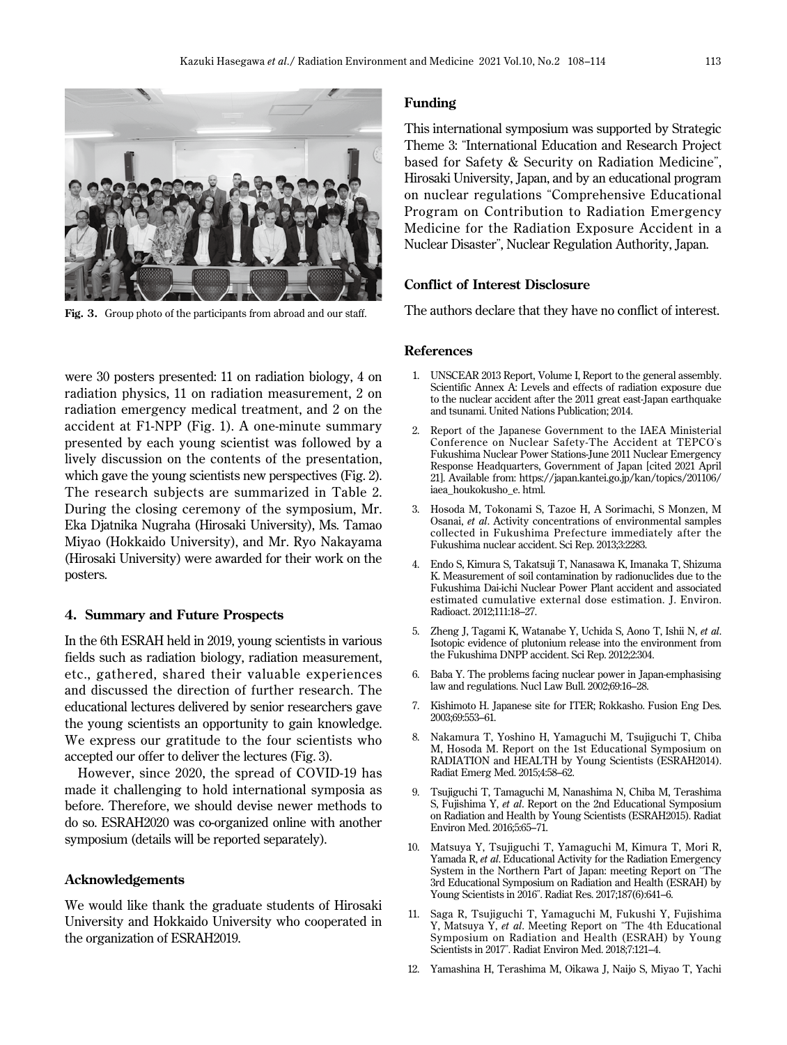

Fig. 3. Group photo of the participants from abroad and our staff.

were 30 posters presented: 11 on radiation biology, 4 on radiation physics, 11 on radiation measurement, 2 on radiation emergency medical treatment, and 2 on the accident at F1-NPP (Fig. 1). A one-minute summary presented by each young scientist was followed by a lively discussion on the contents of the presentation, which gave the young scientists new perspectives (Fig. 2). The research subjects are summarized in Table 2. During the closing ceremony of the symposium, Mr. Eka Djatnika Nugraha (Hirosaki University), Ms. Tamao Miyao (Hokkaido University), and Mr. Ryo Nakayama (Hirosaki University) were awarded for their work on the posters.

#### **4. Summary and Future Prospects**

In the 6th ESRAH held in 2019, young scientists in various fields such as radiation biology, radiation measurement, etc., gathered, shared their valuable experiences and discussed the direction of further research. The educational lectures delivered by senior researchers gave the young scientists an opportunity to gain knowledge. We express our gratitude to the four scientists who accepted our offer to deliver the lectures (Fig. 3).

However, since 2020, the spread of COVID-19 has made it challenging to hold international symposia as before. Therefore, we should devise newer methods to do so. ESRAH2020 was co-organized online with another symposium (details will be reported separately).

#### **Acknowledgements**

We would like thank the graduate students of Hirosaki University and Hokkaido University who cooperated in the organization of ESRAH2019.

#### **Funding**

This international symposium was supported by Strategic Theme 3: "International Education and Research Project based for Safety & Security on Radiation Medicine", Hirosaki University, Japan, and by an educational program on nuclear regulations "Comprehensive Educational Program on Contribution to Radiation Emergency Medicine for the Radiation Exposure Accident in a Nuclear Disaster", Nuclear Regulation Authority, Japan.

#### **Conflict of Interest Disclosure**

The authors declare that they have no conflict of interest.

#### **References**

- 1. UNSCEAR 2013 Report, Volume I, Report to the general assembly. Scientific Annex A: Levels and effects of radiation exposure due to the nuclear accident after the 2011 great east-Japan earthquake and tsunami. United Nations Publication; 2014.
- 2. Report of the Japanese Government to the IAEA Ministerial Conference on Nuclear Safety-The Accident at TEPCO's Fukushima Nuclear Power Stations-June 2011 Nuclear Emergency Response Headquarters, Government of Japan [cited 2021 April 21]. Available from: https://japan.kantei.go.jp/kan/topics/201106/ iaea\_houkokusho\_e. html.
- 3. Hosoda M, Tokonami S, Tazoe H, A Sorimachi, S Monzen, M Osanai, *et al*. Activity concentrations of environmental samples collected in Fukushima Prefecture immediately after the Fukushima nuclear accident. Sci Rep. 2013;3:2283.
- 4. Endo S, Kimura S, Takatsuji T, Nanasawa K, Imanaka T, Shizuma K. Measurement of soil contamination by radionuclides due to the Fukushima Dai-ichi Nuclear Power Plant accident and associated estimated cumulative external dose estimation. J. Environ. Radioact. 2012;111:18–27.
- 5. Zheng J, Tagami K, Watanabe Y, Uchida S, Aono T, Ishii N, *et al*. Isotopic evidence of plutonium release into the environment from the Fukushima DNPP accident. Sci Rep. 2012;2:304.
- 6. Baba Y. The problems facing nuclear power in Japan-emphasising law and regulations. Nucl Law Bull. 2002;69:16–28.
- 7. Kishimoto H. Japanese site for ITER; Rokkasho. Fusion Eng Des. 2003;69:553–61.
- 8. Nakamura T, Yoshino H, Yamaguchi M, Tsujiguchi T, Chiba M, Hosoda M. Report on the 1st Educational Symposium on RADIATION and HEALTH by Young Scientists (ESRAH2014). Radiat Emerg Med. 2015;4:58–62.
- 9. Tsujiguchi T, Tamaguchi M, Nanashima N, Chiba M, Terashima S, Fujishima Y, *et al*. Report on the 2nd Educational Symposium on Radiation and Health by Young Scientists (ESRAH2015). Radiat Environ Med. 2016;5:65–71.
- 10. Matsuya Y, Tsujiguchi T, Yamaguchi M, Kimura T, Mori R, Yamada R, *et al*. Educational Activity for the Radiation Emergency System in the Northern Part of Japan: meeting Report on "The 3rd Educational Symposium on Radiation and Health (ESRAH) by Young Scientists in 2016". Radiat Res. 2017;187(6):641–6.
- 11. Saga R, Tsujiguchi T, Yamaguchi M, Fukushi Y, Fujishima Y, Matsuya Y, *et al*. Meeting Report on "The 4th Educational Symposium on Radiation and Health (ESRAH) by Young Scientists in 2017". Radiat Environ Med. 2018;7:121–4.
- 12. Yamashina H, Terashima M, Oikawa J, Naijo S, Miyao T, Yachi